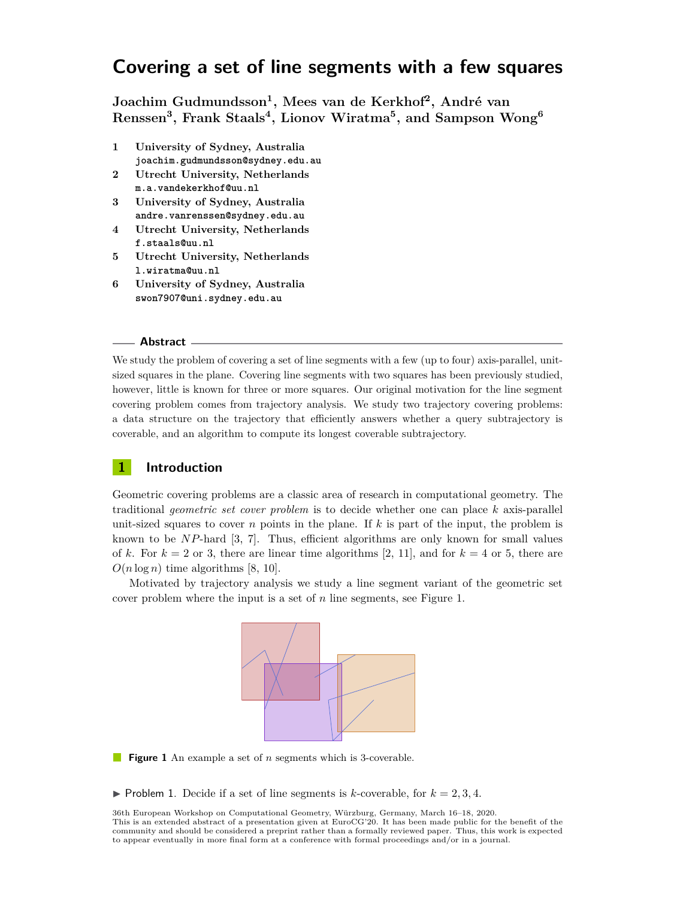# **Covering a set of line segments with a few squares**

**Joachim Gudmundsson<sup>1</sup> , Mees van de Kerkhof<sup>2</sup> , André van Renssen<sup>3</sup> , Frank Staals<sup>4</sup> , Lionov Wiratma<sup>5</sup> , and Sampson Wong<sup>6</sup>**

- **1 University of Sydney, Australia joachim.gudmundsson@sydney.edu.au**
- **2 Utrecht University, Netherlands m.a.vandekerkhof@uu.nl**
- **3 University of Sydney, Australia andre.vanrenssen@sydney.edu.au**
- **4 Utrecht University, Netherlands f.staals@uu.nl**
- **5 Utrecht University, Netherlands l.wiratma@uu.nl**
- **6 University of Sydney, Australia swon7907@uni.sydney.edu.au**

#### **Abstract**

We study the problem of covering a set of line segments with a few (up to four) axis-parallel, unitsized squares in the plane. Covering line segments with two squares has been previously studied, however, little is known for three or more squares. Our original motivation for the line segment covering problem comes from trajectory analysis. We study two trajectory covering problems: a data structure on the trajectory that efficiently answers whether a query subtrajectory is coverable, and an algorithm to compute its longest coverable subtrajectory.

## **1 Introduction**

Geometric covering problems are a classic area of research in computational geometry. The traditional *geometric set cover problem* is to decide whether one can place *k* axis-parallel unit-sized squares to cover  $n$  points in the plane. If  $k$  is part of the input, the problem is known to be *NP*-hard [\[3,](#page-7-0) [7\]](#page-7-1). Thus, efficient algorithms are only known for small values of *k*. For  $k = 2$  or 3, there are linear time algorithms [\[2,](#page-7-2) [11\]](#page-7-3), and for  $k = 4$  or 5, there are  $O(n \log n)$  time algorithms [\[8,](#page-7-4) [10\]](#page-7-5).

<span id="page-0-0"></span>Motivated by trajectory analysis we study a line segment variant of the geometric set cover problem where the input is a set of *n* line segments, see Figure [1.](#page-0-0)



**Figure 1** An example a set of *n* segments which is 3-coverable.

 $\triangleright$  Problem 1. Decide if a set of line segments is *k*-coverable, for  $k = 2, 3, 4$ .

36th European Workshop on Computational Geometry, Würzburg, Germany, March 16–18, 2020. This is an extended abstract of a presentation given at EuroCG'20. It has been made public for the benefit of the community and should be considered a preprint rather than a formally reviewed paper. Thus, this work is expected to appear eventually in more final form at a conference with formal proceedings and/or in a journal.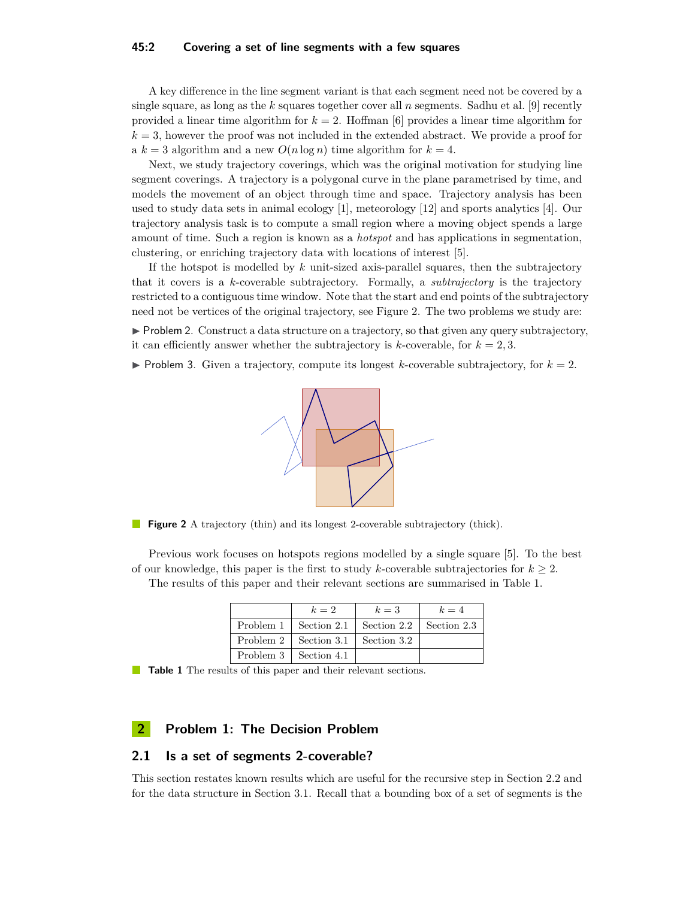#### **45:2 Covering a set of line segments with a few squares**

A key difference in the line segment variant is that each segment need not be covered by a single square, as long as the *k* squares together cover all *n* segments. Sadhu et al. [\[9\]](#page-7-6) recently provided a linear time algorithm for  $k = 2$ . Hoffman [\[6\]](#page-7-7) provides a linear time algorithm for  $k = 3$ , however the proof was not included in the extended abstract. We provide a proof for a  $k = 3$  algorithm and a new  $O(n \log n)$  time algorithm for  $k = 4$ .

Next, we study trajectory coverings, which was the original motivation for studying line segment coverings. A trajectory is a polygonal curve in the plane parametrised by time, and models the movement of an object through time and space. Trajectory analysis has been used to study data sets in animal ecology [\[1\]](#page-7-8), meteorology [\[12\]](#page-7-9) and sports analytics [\[4\]](#page-7-10). Our trajectory analysis task is to compute a small region where a moving object spends a large amount of time. Such a region is known as a *hotspot* and has applications in segmentation, clustering, or enriching trajectory data with locations of interest [\[5\]](#page-7-11).

If the hotspot is modelled by *k* unit-sized axis-parallel squares, then the subtrajectory that it covers is a *k*-coverable subtrajectory. Formally, a *subtrajectory* is the trajectory restricted to a contiguous time window. Note that the start and end points of the subtrajectory need not be vertices of the original trajectory, see Figure [2.](#page-1-0) The two problems we study are:

 $\triangleright$  Problem 2. Construct a data structure on a trajectory, so that given any query subtrajectory, it can efficiently answer whether the subtrajectory is *k*-coverable, for  $k = 2, 3$ .

<span id="page-1-0"></span> $\triangleright$  Problem 3. Given a trajectory, compute its longest *k*-coverable subtrajectory, for  $k = 2$ .



**Figure 2** A trajectory (thin) and its longest 2-coverable subtrajectory (thick).

<span id="page-1-1"></span>Previous work focuses on hotspots regions modelled by a single square [\[5\]](#page-7-11). To the best of our knowledge, this paper is the first to study *k*-coverable subtrajectories for  $k \geq 2$ . The results of this paper and their relevant sections are summarised in Table [1.](#page-1-1)

| $k=2$                                           | $k=3$                                               | $k=4$ |
|-------------------------------------------------|-----------------------------------------------------|-------|
|                                                 | Problem 1   Section 2.1   Section 2.2   Section 2.3 |       |
| Problem $2 \mid$ Section 3.1 $\mid$ Section 3.2 |                                                     |       |
| Problem 3   Section 4.1                         |                                                     |       |

**Table 1** The results of this paper and their relevant sections.

## **2 Problem 1: The Decision Problem**

## <span id="page-1-2"></span>**2.1 Is a set of segments 2-coverable?**

This section restates known results which are useful for the recursive step in Section [2.2](#page-2-0) and for the data structure in Section [3.1.](#page-5-0) Recall that a bounding box of a set of segments is the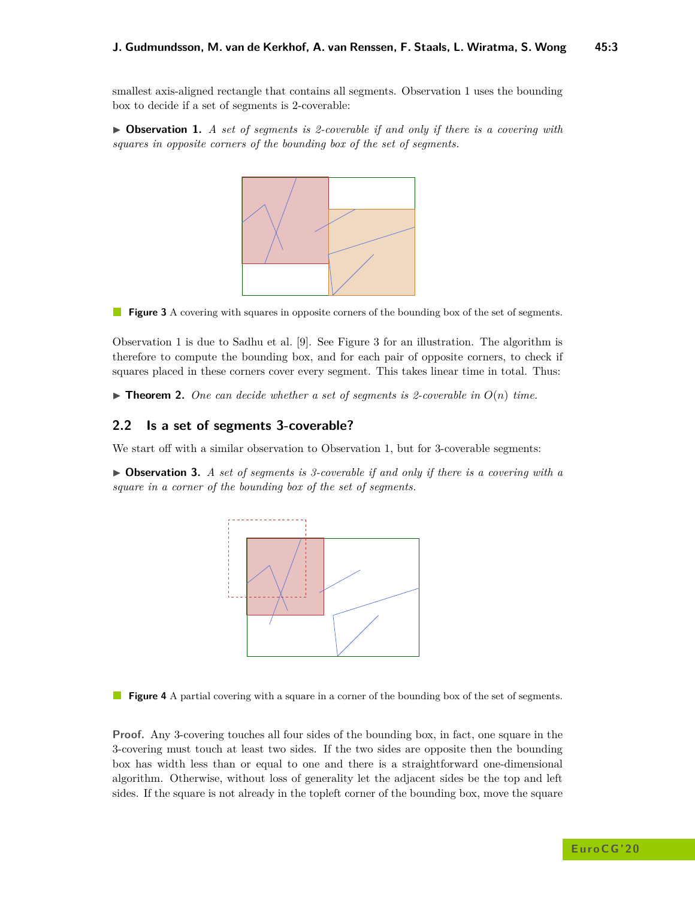smallest axis-aligned rectangle that contains all segments. Observation [1](#page-2-1) uses the bounding box to decide if a set of segments is 2-coverable:

<span id="page-2-2"></span><span id="page-2-1"></span>▶ Observation 1. *A set of segments is 2-coverable if and only if there is a covering with squares in opposite corners of the bounding box of the set of segments.*



**Figure 3** A covering with squares in opposite corners of the bounding box of the set of segments.

Observation 1 is due to Sadhu et al. [\[9\]](#page-7-6). See Figure [3](#page-2-2) for an illustration. The algorithm is therefore to compute the bounding box, and for each pair of opposite corners, to check if squares placed in these corners cover every segment. This takes linear time in total. Thus:

<span id="page-2-5"></span>**Findamerical 1.** One can decide whether a set of segments is 2-coverable in  $O(n)$  time.

## <span id="page-2-0"></span>**2.2 Is a set of segments 3-coverable?**

We start off with a similar observation to Observation [1,](#page-2-1) but for 3-coverable segments:

<span id="page-2-4"></span><span id="page-2-3"></span>▶ Observation 3. A set of segments is 3-coverable if and only if there is a covering with a *square in a corner of the bounding box of the set of segments.*



**Figure 4** A partial covering with a square in a corner of the bounding box of the set of segments.

**Proof.** Any 3-covering touches all four sides of the bounding box, in fact, one square in the 3-covering must touch at least two sides. If the two sides are opposite then the bounding box has width less than or equal to one and there is a straightforward one-dimensional algorithm. Otherwise, without loss of generality let the adjacent sides be the top and left sides. If the square is not already in the topleft corner of the bounding box, move the square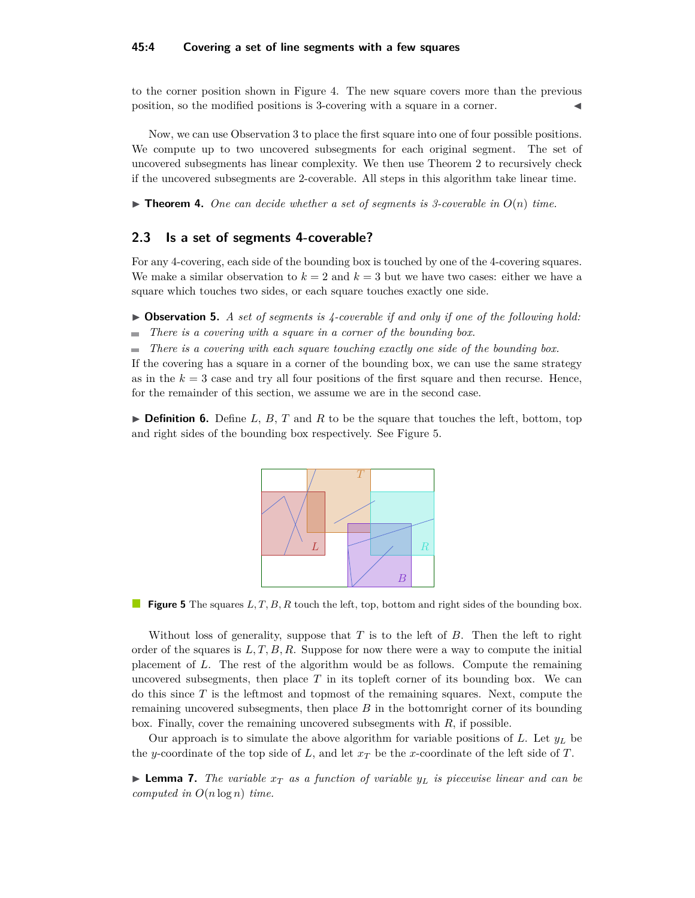#### **45:4 Covering a set of line segments with a few squares**

to the corner position shown in Figure [4.](#page-2-3) The new square covers more than the previous position, so the modified positions is 3-covering with a square in a corner.

Now, we can use Observation [3](#page-2-4) to place the first square into one of four possible positions. We compute up to two uncovered subsegments for each original segment. The set of uncovered subsegments has linear complexity. We then use Theorem [2](#page-2-5) to recursively check if the uncovered subsegments are 2-coverable. All steps in this algorithm take linear time.

**Findment 4.** One can decide whether a set of segments is 3-coverable in  $O(n)$  time.

## <span id="page-3-0"></span>**2.3 Is a set of segments 4-coverable?**

For any 4-covering, each side of the bounding box is touched by one of the 4-covering squares. We make a similar observation to  $k = 2$  and  $k = 3$  but we have two cases: either we have a square which touches two sides, or each square touches exactly one side.

<span id="page-3-2"></span>▶ Observation 5. *A set of segments is 4-coverable if and only if one of the following hold:* 

*There is a covering with a square in a corner of the bounding box.*  $\mathcal{L}_{\mathcal{A}}$ 

*There is a covering with each square touching exactly one side of the bounding box.* m.

If the covering has a square in a corner of the bounding box, we can use the same strategy as in the  $k = 3$  case and try all four positions of the first square and then recurse. Hence, for the remainder of this section, we assume we are in the second case.

<span id="page-3-1"></span> $\triangleright$  **Definition 6.** Define *L*, *B*, *T* and *R* to be the square that touches the left, bottom, top and right sides of the bounding box respectively. See Figure [5.](#page-3-1)



**Figure 5** The squares L, T, B, R touch the left, top, bottom and right sides of the bounding box.

Without loss of generality, suppose that *T* is to the left of *B*. Then the left to right order of the squares is  $L, T, B, R$ . Suppose for now there were a way to compute the initial placement of *L*. The rest of the algorithm would be as follows. Compute the remaining uncovered subsegments, then place  $T$  in its topleft corner of its bounding box. We can do this since *T* is the leftmost and topmost of the remaining squares. Next, compute the remaining uncovered subsegments, then place *B* in the bottomright corner of its bounding box. Finally, cover the remaining uncovered subsegments with *R*, if possible.

Our approach is to simulate the above algorithm for variable positions of *L*. Let *y<sup>L</sup>* be the *y*-coordinate of the top side of *L*, and let  $x_T$  be the *x*-coordinate of the left side of *T*.

**Example 7.** The variable  $x_T$  as a function of variable  $y_L$  is piecewise linear and can be *computed in O*(*n* log *n*) *time.*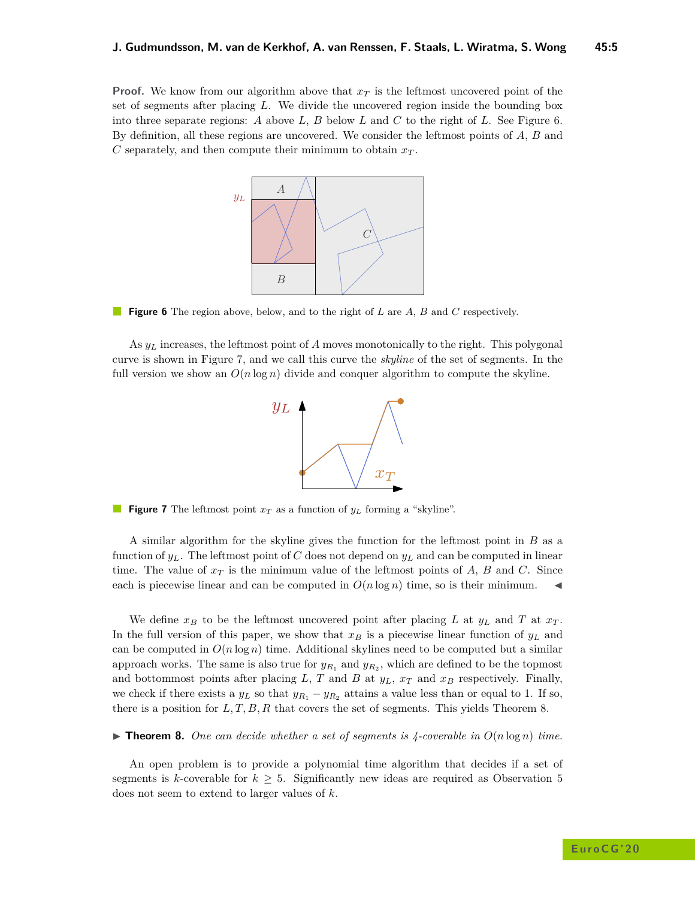<span id="page-4-0"></span>**Proof.** We know from our algorithm above that  $x<sub>T</sub>$  is the leftmost uncovered point of the set of segments after placing *L*. We divide the uncovered region inside the bounding box into three separate regions: *A* above *L*, *B* below *L* and *C* to the right of *L*. See Figure [6.](#page-4-0) By definition, all these regions are uncovered. We consider the leftmost points of *A*, *B* and  $C$  separately, and then compute their minimum to obtain  $x_T$ .



**Figure 6** The region above, below, and to the right of *L* are *A*, *B* and *C* respectively.

<span id="page-4-1"></span>As *y<sup>L</sup>* increases, the leftmost point of *A* moves monotonically to the right. This polygonal curve is shown in Figure [7,](#page-4-1) and we call this curve the *skyline* of the set of segments. In the full version we show an  $O(n \log n)$  divide and conquer algorithm to compute the skyline.



**Figure 7** The leftmost point *x<sup>T</sup>* as a function of *y<sup>L</sup>* forming a "skyline".

A similar algorithm for the skyline gives the function for the leftmost point in *B* as a function of  $y_L$ . The leftmost point of *C* does not depend on  $y_L$  and can be computed in linear time. The value of  $x_T$  is the minimum value of the leftmost points of A, B and C. Since each is piecewise linear and can be computed in  $O(n \log n)$  time, so is their minimum.

We define  $x_B$  to be the leftmost uncovered point after placing *L* at  $y_L$  and *T* at  $x_T$ . In the full version of this paper, we show that  $x_B$  is a piecewise linear function of  $y_L$  and can be computed in  $O(n \log n)$  time. Additional skylines need to be computed but a similar approach works. The same is also true for  $y_{R_1}$  and  $y_{R_2}$ , which are defined to be the topmost and bottommost points after placing *L*, *T* and *B* at *yL*, *x<sup>T</sup>* and *x<sup>B</sup>* respectively. Finally, we check if there exists a  $y_L$  so that  $y_{R_1} - y_{R_2}$  attains a value less than or equal to 1. If so, there is a position for *L, T, B, R* that covers the set of segments. This yields Theorem [8.](#page-4-2)

#### <span id="page-4-2"></span>**Find 1 Find 1 Find 1 C** *One can decide whether a set of segments is 4-coverable in*  $O(n \log n)$  *time.*

An open problem is to provide a polynomial time algorithm that decides if a set of segments is *k*-coverable for  $k \geq 5$  $k \geq 5$ . Significantly new ideas are required as Observation 5 does not seem to extend to larger values of *k*.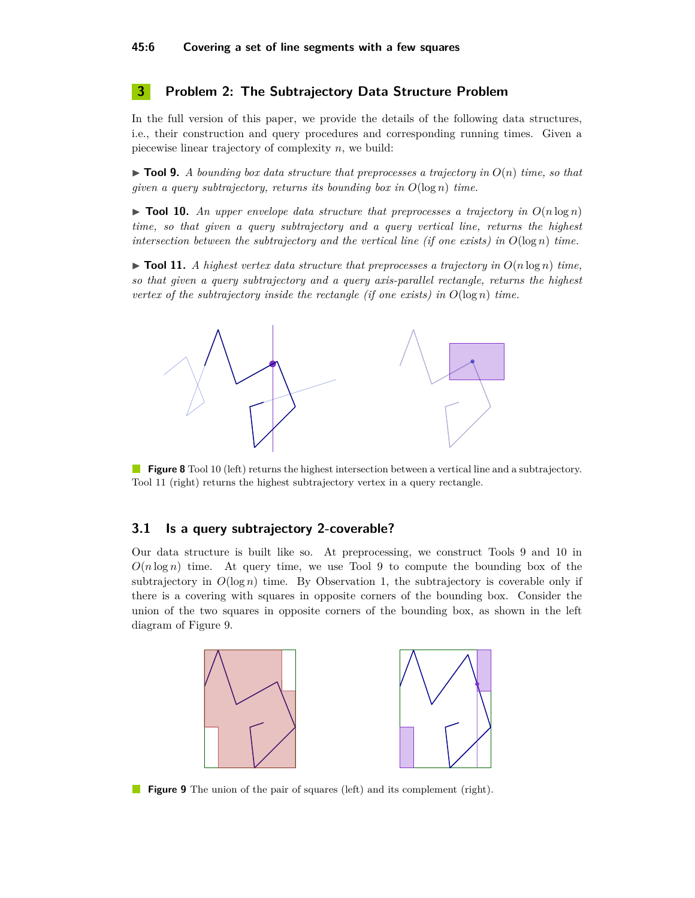## **3 Problem 2: The Subtrajectory Data Structure Problem**

In the full version of this paper, we provide the details of the following data structures, i.e., their construction and query procedures and corresponding running times. Given a piecewise linear trajectory of complexity *n*, we build:

<span id="page-5-3"></span> $\triangleright$  **Tool 9.** *A bounding box data structure that preprocesses a trajectory in*  $O(n)$  *time, so that given a query subtrajectory, returns its bounding box in O*(log *n*) *time.*

<span id="page-5-1"></span> $\triangleright$  **Tool 10.** An upper envelope data structure that preprocesses a trajectory in  $O(n \log n)$ *time, so that given a query subtrajectory and a query vertical line, returns the highest intersection between the subtrajectory and the vertical line (if one exists) in*  $O(\log n)$  *time.* 

<span id="page-5-2"></span> $\triangleright$  **Tool 11.** *A highest vertex data structure that preprocesses a trajectory in*  $O(n \log n)$  *time, so that given a query subtrajectory and a query axis-parallel rectangle, returns the highest vertex of the subtrajectory inside the rectangle (if one exists) in*  $O(\log n)$  *time.* 



**Figure 8** Tool [10](#page-5-1) (left) returns the highest intersection between a vertical line and a subtrajectory. Tool [11](#page-5-2) (right) returns the highest subtrajectory vertex in a query rectangle.

#### <span id="page-5-0"></span>**3.1 Is a query subtrajectory 2-coverable?**

Our data structure is built like so. At preprocessing, we construct Tools [9](#page-5-3) and [10](#page-5-1) in  $O(n \log n)$  time. At query time, we use Tool [9](#page-5-3) to compute the bounding box of the subtrajectory in  $O(\log n)$  time. By Observation [1,](#page-2-1) the subtrajectory is coverable only if there is a covering with squares in opposite corners of the bounding box. Consider the union of the two squares in opposite corners of the bounding box, as shown in the left diagram of Figure [9.](#page-5-4)

<span id="page-5-4"></span>

**Figure 9** The union of the pair of squares (left) and its complement (right).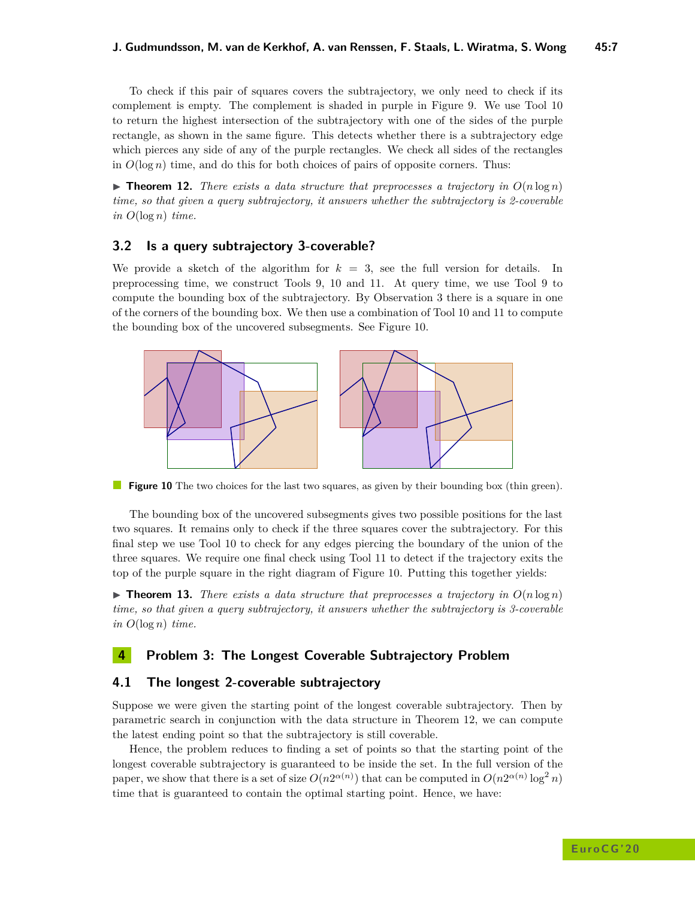To check if this pair of squares covers the subtrajectory, we only need to check if its complement is empty. The complement is shaded in purple in Figure [9.](#page-5-4) We use Tool [10](#page-5-1) to return the highest intersection of the subtrajectory with one of the sides of the purple rectangle, as shown in the same figure. This detects whether there is a subtrajectory edge which pierces any side of any of the purple rectangles. We check all sides of the rectangles in  $O(\log n)$  time, and do this for both choices of pairs of opposite corners. Thus:

<span id="page-6-3"></span> $\triangleright$  **Theorem 12.** *There exists a data structure that preprocesses a trajectory in*  $O(n \log n)$ *time, so that given a query subtrajectory, it answers whether the subtrajectory is 2-coverable*  $in$   $O(log n)$   $time.$ 

## <span id="page-6-0"></span>**3.2 Is a query subtrajectory 3-coverable?**

We provide a sketch of the algorithm for  $k = 3$ , see the full version for details. In preprocessing time, we construct Tools [9,](#page-5-3) [10](#page-5-1) and [11.](#page-5-2) At query time, we use Tool [9](#page-5-3) to compute the bounding box of the subtrajectory. By Observation [3](#page-2-4) there is a square in one of the corners of the bounding box. We then use a combination of Tool [10](#page-5-1) and [11](#page-5-2) to compute the bounding box of the uncovered subsegments. See Figure [10.](#page-6-2)

<span id="page-6-2"></span>

**Figure 10** The two choices for the last two squares, as given by their bounding box (thin green).

The bounding box of the uncovered subsegments gives two possible positions for the last two squares. It remains only to check if the three squares cover the subtrajectory. For this final step we use Tool [10](#page-5-1) to check for any edges piercing the boundary of the union of the three squares. We require one final check using Tool [11](#page-5-2) to detect if the trajectory exits the top of the purple square in the right diagram of Figure [10.](#page-6-2) Putting this together yields:

**Fineorem 13.** There exists a data structure that preprocesses a trajectory in  $O(n \log n)$ *time, so that given a query subtrajectory, it answers whether the subtrajectory is 3-coverable*  $in$   $O(log n)$   $time.$ 

## **4 Problem 3: The Longest Coverable Subtrajectory Problem**

## <span id="page-6-1"></span>**4.1 The longest 2-coverable subtrajectory**

Suppose we were given the starting point of the longest coverable subtrajectory. Then by parametric search in conjunction with the data structure in Theorem [12,](#page-6-3) we can compute the latest ending point so that the subtrajectory is still coverable.

Hence, the problem reduces to finding a set of points so that the starting point of the longest coverable subtrajectory is guaranteed to be inside the set. In the full version of the paper, we show that there is a set of size  $O(n2^{\alpha(n)})$  that can be computed in  $O(n2^{\alpha(n)} \log^2 n)$ time that is guaranteed to contain the optimal starting point. Hence, we have: